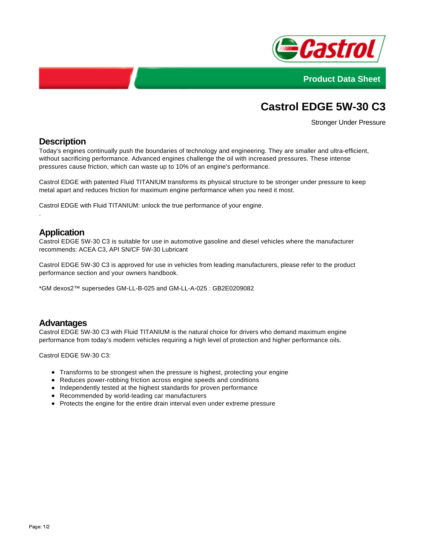



# **Castrol EDGE 5W-30 C3**

Stronger Under Pressure

## **Description**

Today's engines continually push the boundaries of technology and engineering. They are smaller and ultra-efficient, without sacrificing performance. Advanced engines challenge the oil with increased pressures. These intense pressures cause friction, which can waste up to 10% of an engine's performance.

Castrol EDGE with patented Fluid TITANIUM transforms its physical structure to be stronger under pressure to keep metal apart and reduces friction for maximum engine performance when you need it most.

Castrol EDGE with Fluid TITANIUM: unlock the true performance of your engine.

## **Application**

.

Castrol EDGE 5W-30 C3 is suitable for use in automotive gasoline and diesel vehicles where the manufacturer recommends: ACEA C3, API SN/CF 5W-30 Lubricant

Castrol EDGE 5W-30 C3 is approved for use in vehicles from leading manufacturers, please refer to the product performance section and your owners handbook.

\*GM dexos2™ supersedes GM-LL-B-025 and GM-LL-A-025 : GB2E0209082

#### **Advantages**

Castrol EDGE 5W-30 C3 with Fluid TITANIUM is the natural choice for drivers who demand maximum engine performance from today's modern vehicles requiring a high level of protection and higher performance oils.

Castrol EDGE 5W-30 C3:

- Transforms to be strongest when the pressure is highest, protecting your engine
- Reduces power-robbing friction across engine speeds and conditions
- Independently tested at the highest standards for proven performance
- Recommended by world-leading car manufacturers
- Protects the engine for the entire drain interval even under extreme pressure